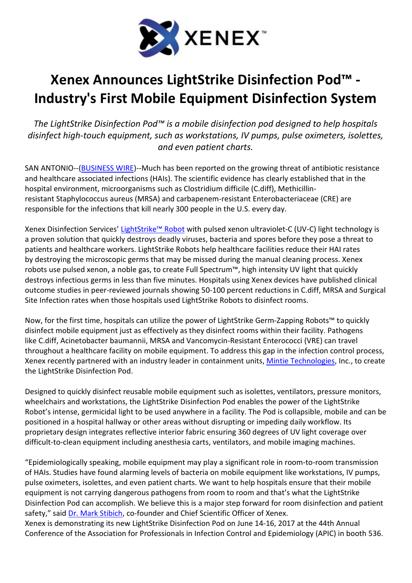

## Xenex Announces LightStrike Disinfection Pod™ - Industry's First Mobile Equipment Disinfection System

The LightStrike Disinfection Pod™ is a mobile disinfection pod designed to help hospitals disinfect high-touch equipment, such as workstations, IV pumps, pulse oximeters, isolettes, and even patient charts.

SAN ANTONIO--(BUSINESS WIRE)--Much has been reported on the growing threat of antibiotic resistance and healthcare associated infections (HAIs). The scientific evidence has clearly established that in the hospital environment, microorganisms such as Clostridium difficile (C.diff), Methicillinresistant Staphylococcus aureus (MRSA) and carbapenem-resistant Enterobacteriaceae (CRE) are responsible for the infections that kill nearly 300 people in the U.S. every day.

Xenex Disinfection Services' LightStrike™ Robot with pulsed xenon ultraviolet-C (UV-C) light technology is a proven solution that quickly destroys deadly viruses, bacteria and spores before they pose a threat to patients and healthcare workers. LightStrike Robots help healthcare facilities reduce their HAI rates by destroying the microscopic germs that may be missed during the manual cleaning process. Xenex robots use pulsed xenon, a noble gas, to create Full Spectrum™, high intensity UV light that quickly destroys infectious germs in less than five minutes. Hospitals using Xenex devices have published clinical outcome studies in peer-reviewed journals showing 50-100 percent reductions in C.diff, MRSA and Surgical Site Infection rates when those hospitals used LightStrike Robots to disinfect rooms.

Now, for the first time, hospitals can utilize the power of LightStrike Germ-Zapping Robots™ to quickly disinfect mobile equipment just as effectively as they disinfect rooms within their facility. Pathogens like C.diff, Acinetobacter baumannii, MRSA and Vancomycin-Resistant Enterococci (VRE) can travel throughout a healthcare facility on mobile equipment. To address this gap in the infection control process, Xenex recently partnered with an industry leader in containment units, Mintie Technologies, Inc., to create the LightStrike Disinfection Pod.

Designed to quickly disinfect reusable mobile equipment such as isolettes, ventilators, pressure monitors, wheelchairs and workstations, the LightStrike Disinfection Pod enables the power of the LightStrike Robot's intense, germicidal light to be used anywhere in a facility. The Pod is collapsible, mobile and can be positioned in a hospital hallway or other areas without disrupting or impeding daily workflow. Its proprietary design integrates reflective interior fabric ensuring 360 degrees of UV light coverage over difficult-to-clean equipment including anesthesia carts, ventilators, and mobile imaging machines.

"Epidemiologically speaking, mobile equipment may play a significant role in room-to-room transmission of HAIs. Studies have found alarming levels of bacteria on mobile equipment like workstations, IV pumps, pulse oximeters, isolettes, and even patient charts. We want to help hospitals ensure that their mobile equipment is not carrying dangerous pathogens from room to room and that's what the LightStrike Disinfection Pod can accomplish. We believe this is a major step forward for room disinfection and patient safety," said Dr. Mark Stibich, co-founder and Chief Scientific Officer of Xenex. Xenex is demonstrating its new LightStrike Disinfection Pod on June 14-16, 2017 at the 44th Annual

Conference of the Association for Professionals in Infection Control and Epidemiology (APIC) in booth 536.